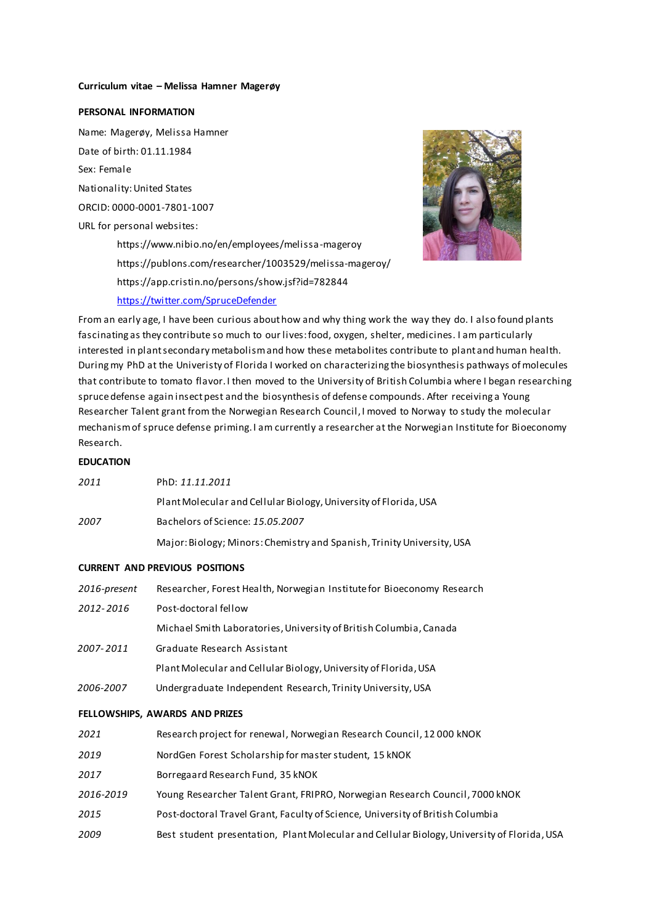#### **Curriculum vitae – Melissa Hamner Magerøy**

## **PERSONAL INFORMATION**

Name: Magerøy, Melissa Hamner Date of birth: 01.11.1984 Sex: Female Nationality:United States ORCID: 0000-0001-7801-1007 URL for personal websites: <https://www.nibio.no/en/employees/melissa-mageroy> <https://publons.com/researcher/1003529/melissa-mageroy/> https://app.cristin.no/persons/show.jsf?id=782844

<https://twitter.com/SpruceDefender>



From an early age, I have been curious about how and why thing work the way they do. I also found plants fascinating as they contribute so much to our lives: food, oxygen, shelter, medicines. I am particularly interested in plant secondary metabolism and how these metabolites contribute to plant and human health. During my PhD at the Univeristy of Florida I worked on characterizing the biosynthesis pathways of molecules that contribute to tomato flavor. I then moved to the University of British Columbia where I began researching spruce defense again insect pest and the biosynthesis of defense compounds. After receiving a Young Researcher Talent grant from the Norwegian Research Council, I moved to Norway to study the molecular mechanism of spruce defense priming. I am currently a researcher at the Norwegian Institute for Bioeconomy Research.

## **EDUCATION**

| 2011 | PhD: 11.11.2011                                                        |
|------|------------------------------------------------------------------------|
|      | Plant Molecular and Cellular Biology, University of Florida, USA       |
| 2007 | Bachelors of Science: 15.05.2007                                       |
|      | Major: Biology; Minors: Chemistry and Spanish, Trinity University, USA |

#### **CURRENT AND PREVIOUS POSITIONS**

| 2016-present | Researcher, Forest Health, Norwegian Institute for Bioeconomy Research                      |
|--------------|---------------------------------------------------------------------------------------------|
| 2012-2016    | Post-doctoral fellow                                                                        |
|              | Michael Smith Laboratories, University of British Columbia, Canada                          |
| 2007-2011    | Graduate Research Assistant                                                                 |
|              | Plant Molecular and Cellular Biology, University of Florida, USA                            |
| 2006-2007    | Undergraduate Independent Research, Trinity University, USA                                 |
|              | FELLOWSHIPS, AWARDS AND PRIZES                                                              |
| 2021         | Research project for renewal, Norwegian Research Council, 12000 kNOK                        |
| 2019         | NordGen Forest Scholarship for master student, 15 kNOK                                      |
| 2017         | Borregaard Research Fund, 35 kNOK                                                           |
| 2016-2019    | Young Researcher Talent Grant, FRIPRO, Norwegian Research Council, 7000 kNOK                |
| 2015         | Post-doctoral Travel Grant, Faculty of Science, University of British Columbia              |
| 2009         | Best student presentation, Plant Molecular and Cellular Biology, University of Florida, USA |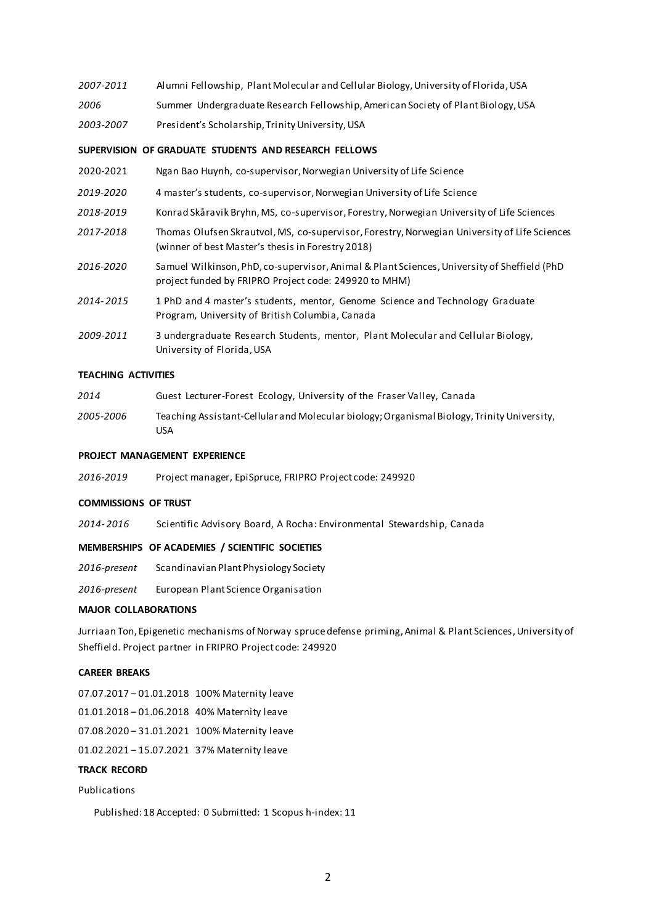| 2007-2011 | Alumni Fellowship, Plant Molecular and Cellular Biology, University of Florida, USA |
|-----------|-------------------------------------------------------------------------------------|
| 2006      | Summer Undergraduate Research Fellowship, American Society of Plant Biology, USA    |

*2003-2007* President's Scholarship, Trinity University, USA

## **SUPERVISION OF GRADUATE STUDENTS AND RESEARCH FELLOWS**

- 2020-2021 Ngan Bao Huynh, co-supervisor, Norwegian University of Life Science
- *2019-2020* 4 master's students, co-supervisor, Norwegian University of Life Science
- *2018-2019* Konrad Skåravik Bryhn, MS, co-supervisor, Forestry, Norwegian University of Life Sciences
- *2017-2018* Thomas Olufsen Skrautvol, MS, co-supervisor, Forestry, Norwegian University of Life Sciences (winner of best Master's thesis in Forestry 2018)
- *2016-2020* Samuel Wilkinson, PhD, co-supervisor, Animal & Plant Sciences, University of Sheffield (PhD project funded by FRIPRO Project code: 249920 to MHM)
- *2014- 2015* 1 PhD and 4 master's students, mentor, Genome Science and Technology Graduate Program, University of British Columbia, Canada
- *2009-2011* 3 undergraduate Research Students, mentor, Plant Molecular and Cellular Biology, University of Florida, USA

#### **TEACHING ACTIVITIES**

| 2014      | Guest Lecturer-Forest Ecology, University of the Fraser Valley, Canada           |
|-----------|----------------------------------------------------------------------------------|
| 2005-2006 | Teaching Assistant-Cellularand Molecular biology: Organismal Riology, Trinity Un |

*2005-2006* Teaching Assistant-Cellular and Molecular biology; Organismal Biology, Trinity University, USA

## **PROJECT MANAGEMENT EXPERIENCE**

*2016-2019* Project manager, EpiSpruce, FRIPRO Project code: 249920

#### **COMMISSIONS OF TRUST**

*2014- 2016* Scientific Advisory Board, A Rocha: Environmental Stewardship, Canada

## **MEMBERSHIPS OF ACADEMIES / SCIENTIFIC SOCIETIES**

- *2016-present* Scandinavian Plant Physiology Society
- *2016-present* European Plant Science Organisation

## **MAJOR COLLABORATIONS**

Jurriaan Ton, Epigenetic mechanisms of Norway spruce defense priming, Animal & Plant Sciences, University of Sheffield. Project partner in FRIPRO Project code: 249920

## **CAREER BREAKS**

07.07.2017 – 01.01.2018 100% Maternity leave 01.01.2018 – 01.06.2018 40% Maternity leave 07.08.2020 – 31.01.2021 100% Maternity leave

01.02.2021 – 15.07.2021 37% Maternity leave

# **TRACK RECORD**

## Publications

Published: 18 Accepted: 0 Submitted: 1 Scopus h-index: 11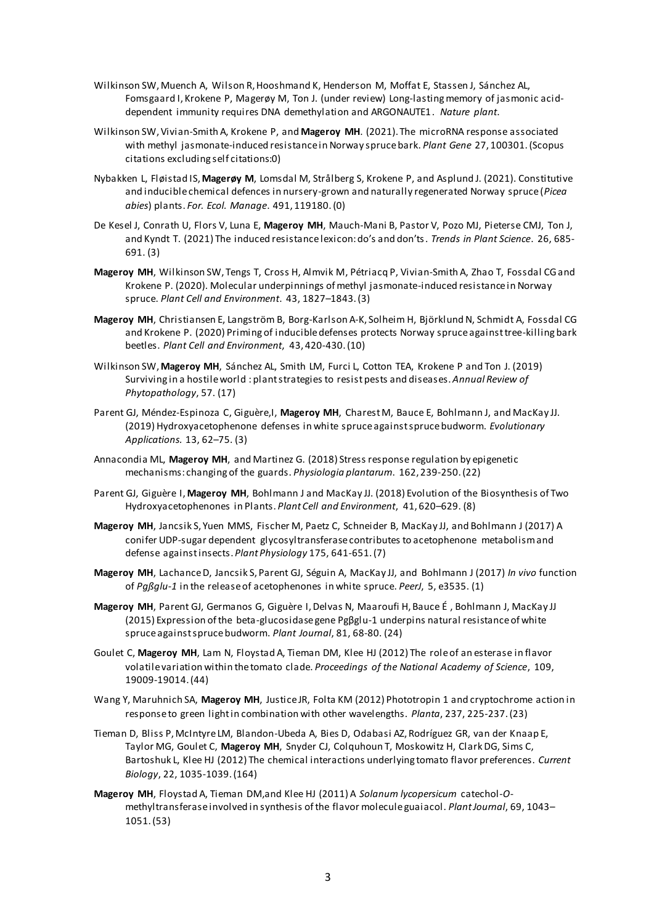- Wilkinson SW, Muench A, Wilson R, Hooshmand K, Henderson M, Moffat E, Stassen J, Sánchez AL, Fomsgaard I, Krokene P, Magerøy M, Ton J. (under review) Long-lasting memory of jasmonic aciddependent immunity requires DNA demethylation and ARGONAUTE1. *Nature plant*.
- Wilkinson SW, Vivian-Smith A, Krokene P, and **Mageroy MH**. (2021). The microRNA response associated with methyl jasmonate-induced resistance in Norway spruce bark. *Plant Gene* 27, 100301. (Scopus citations excluding self citations:0)
- Nybakken L, Fløistad IS, **Magerøy M**, Lomsdal M, Strålberg S, Krokene P, and Asplund J. (2021). Constitutive and inducible chemical defences in nursery-grown and naturally regenerated Norway spruce (*Picea abies*) plants. *For. Ecol. Manage*. 491, 119180. (0)
- De Kesel J, Conrath U, Flors V, Luna E, **Mageroy MH**, Mauch-Mani B, Pastor V, Pozo MJ, Pieterse CMJ, Ton J, and Kyndt T. (2021) The induced resistance lexicon: do's and don'ts. *Trends in Plant Science*. 26, 685- 691. (3)
- **Mageroy MH**, Wilkinson SW, Tengs T, Cross H, Almvik M, Pétriacq P, Vivian-Smith A, Zhao T, Fossdal CG and Krokene P. (2020). Molecular underpinnings of methyl jasmonate-induced resistance in Norway spruce. *Plant Cell and Environment*. 43, 1827–1843.(3)
- **Mageroy MH**, Christiansen E, Langström B, Borg-Karlson A-K, Solheim H, Björklund N, Schmidt A, Fossdal CG and Krokene P. (2020) Priming of inducible defenses protects Norway spruce against tree-killing bark beetles. *Plant Cell and Environment*, 43, 420-430.(10)
- Wilkinson SW, **Mageroy MH**, Sánchez AL, Smith LM, Furci L, Cotton TEA, Krokene P and Ton J. (2019) Surviving in a hostile world : plant strategies to resist pests and diseases. *Annual Review of Phytopathology*, 57. (17)
- Parent GJ, Méndez-Espinoza C, Giguère,I, **Mageroy MH**, Charest M, Bauce E, Bohlmann J, and MacKay JJ. (2019) Hydroxyacetophenone defenses in white spruce against spruce budworm. *Evolutionary Applications.* 13, 62–75. (3)
- Annacondia ML, **Mageroy MH**, and Martinez G. (2018) Stress response regulation by epigenetic mechanisms: changing of the guards. *Physiologia plantarum*. 162, 239-250.(22)
- Parent GJ, Giguère I, **Mageroy MH**, Bohlmann J and MacKay JJ. (2018) Evolution of the Biosynthesis of Two Hydroxyacetophenones in Plants. *Plant Cell and Environment*, 41, 620–629. (8)
- **Mageroy MH**, Jancsik S, Yuen MMS, Fischer M, Paetz C, Schneider B, MacKay JJ, and Bohlmann J (2017) A conifer UDP-sugar dependent glycosyltransferase contributes to acetophenone metabolism and defense against insects. *Plant Physiology* 175, 641-651. (7)
- **Mageroy MH**, Lachance D, Jancsik S, Parent GJ, Séguin A, MacKay JJ, and Bohlmann J (2017) *In vivo* function of *Pgßglu-1* in the release of acetophenones in white spruce. *PeerJ*, 5, e3535. (1)
- **Mageroy MH**, Parent GJ, Germanos G, Giguère I, Delvas N, Maaroufi H, Bauce É , Bohlmann J, MacKay JJ (2015) Expression of the beta-glucosidase gene Pgβglu-1 underpins natural resistance of white spruce against spruce budworm. *Plant Journal*, 81, 68-80. (24)
- Goulet C, **Mageroy MH**, Lam N, Floystad A, Tieman DM, Klee HJ (2012) The role of an esterase in flavor volatile variation within the tomato clade. *Proceedings of the National Academy of Science*, 109, 19009-19014.(44)
- Wang Y, Maruhnich SA, **Mageroy MH**, Justice JR, Folta KM (2012) Phototropin 1 and cryptochrome action in response to green light in combination with other wavelengths. *Planta*, 237, 225-237. (23)
- Tieman D, Bliss P, McIntyre LM, Blandon-Ubeda A, Bies D, Odabasi AZ, Rodríguez GR, van der Knaap E, Taylor MG, Goulet C, **Mageroy MH**, Snyder CJ, Colquhoun T, Moskowitz H, Clark DG, Sims C, Bartoshuk L, Klee HJ (2012) The chemical interactions underlying tomato flavor preferences. *Current Biology*, 22, 1035-1039. (164)
- **Mageroy MH**, Floystad A, Tieman DM,and Klee HJ (2011) A *Solanum lycopersicum* catechol-*O*methyltransferase involved in synthesis of the flavor molecule guaiacol. *Plant Journal*, 69, 1043– 1051. (53)